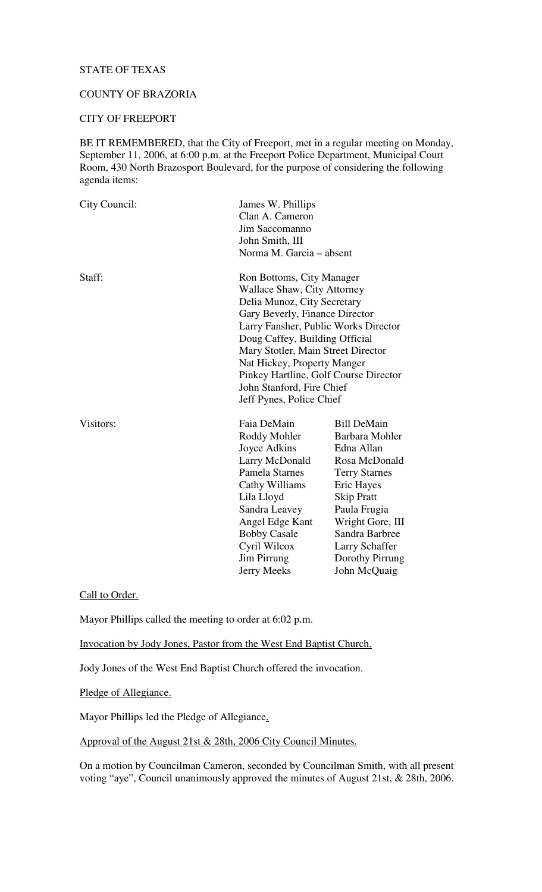# STATE OF TEXAS

### COUNTY OF BRAZORIA

#### CITY OF FREEPORT

BE IT REMEMBERED, that the City of Freeport, met in a regular meeting on Monday, September 11, 2006, at 6:00 p.m. at the Freeport Police Department, Municipal Court Room, 430 North Brazosport Boulevard, for the purpose of considering the following agenda items:

| City Council: | James W. Phillips<br>Clan A. Cameron<br>Jim Saccomanno<br>John Smith, III<br>Norma M. Garcia – absent                                                                                                                                                                                                                                                                      |                                                                                                                                                                                                                                           |
|---------------|----------------------------------------------------------------------------------------------------------------------------------------------------------------------------------------------------------------------------------------------------------------------------------------------------------------------------------------------------------------------------|-------------------------------------------------------------------------------------------------------------------------------------------------------------------------------------------------------------------------------------------|
| Staff:        | Ron Bottoms, City Manager<br>Wallace Shaw, City Attorney<br>Delia Munoz, City Secretary<br>Gary Beverly, Finance Director<br>Larry Fansher, Public Works Director<br>Doug Caffey, Building Official<br>Mary Stotler, Main Street Director<br>Nat Hickey, Property Manger<br>Pinkey Hartline, Golf Course Director<br>John Stanford, Fire Chief<br>Jeff Pynes, Police Chief |                                                                                                                                                                                                                                           |
| Visitors:     | Faia DeMain<br>Roddy Mohler<br>Joyce Adkins<br>Larry McDonald<br>Pamela Starnes<br>Cathy Williams<br>Lila Lloyd<br>Sandra Leavey<br>Angel Edge Kant<br><b>Bobby Casale</b><br>Cyril Wilcox<br>Jim Pirrung<br>Jerry Meeks                                                                                                                                                   | <b>Bill DeMain</b><br>Barbara Mohler<br>Edna Allan<br>Rosa McDonald<br><b>Terry Starnes</b><br>Eric Hayes<br><b>Skip Pratt</b><br>Paula Frugia<br>Wright Gore, III<br>Sandra Barbree<br>Larry Schaffer<br>Dorothy Pirrung<br>John McQuaig |

Call to Order.

Mayor Phillips called the meeting to order at 6:02 p.m.

Invocation by Jody Jones, Pastor from the West End Baptist Church.

Jody Jones of the West End Baptist Church offered the invocation.

Pledge of Allegiance.

Mayor Phillips led the Pledge of Allegiance.

# Approval of the August 21st & 28th, 2006 City Council Minutes.

On a motion by Councilman Cameron, seconded by Councilman Smith, with all present voting "aye", Council unanimously approved the minutes of August 21st, & 28th, 2006.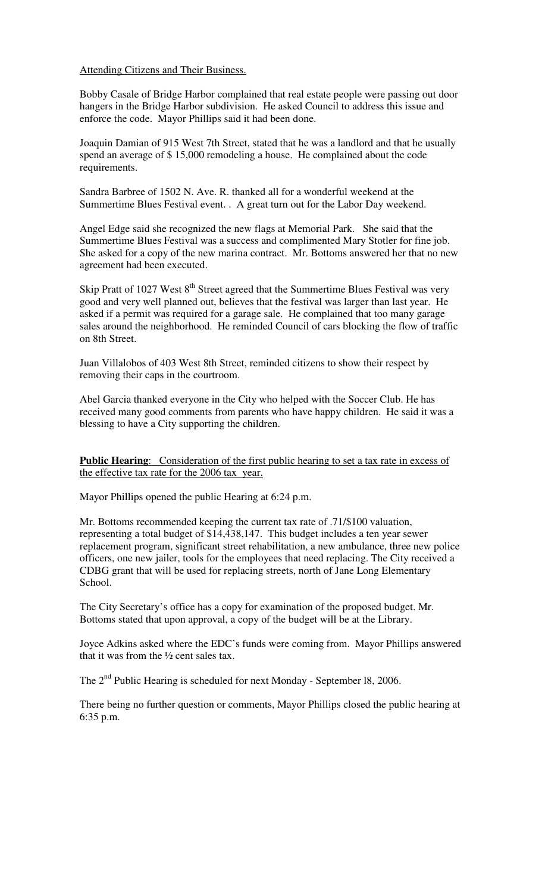#### Attending Citizens and Their Business.

Bobby Casale of Bridge Harbor complained that real estate people were passing out door hangers in the Bridge Harbor subdivision. He asked Council to address this issue and enforce the code. Mayor Phillips said it had been done.

Joaquin Damian of 915 West 7th Street, stated that he was a landlord and that he usually spend an average of \$ 15,000 remodeling a house. He complained about the code requirements.

Sandra Barbree of 1502 N. Ave. R. thanked all for a wonderful weekend at the Summertime Blues Festival event. . A great turn out for the Labor Day weekend.

Angel Edge said she recognized the new flags at Memorial Park. She said that the Summertime Blues Festival was a success and complimented Mary Stotler for fine job. She asked for a copy of the new marina contract. Mr. Bottoms answered her that no new agreement had been executed.

Skip Pratt of 1027 West  $8<sup>th</sup>$  Street agreed that the Summertime Blues Festival was very good and very well planned out, believes that the festival was larger than last year. He asked if a permit was required for a garage sale. He complained that too many garage sales around the neighborhood. He reminded Council of cars blocking the flow of traffic on 8th Street.

Juan Villalobos of 403 West 8th Street, reminded citizens to show their respect by removing their caps in the courtroom.

Abel Garcia thanked everyone in the City who helped with the Soccer Club. He has received many good comments from parents who have happy children. He said it was a blessing to have a City supporting the children.

**Public Hearing**: Consideration of the first public hearing to set a tax rate in excess of the effective tax rate for the 2006 tax year.

Mayor Phillips opened the public Hearing at 6:24 p.m.

Mr. Bottoms recommended keeping the current tax rate of .71/\$100 valuation, representing a total budget of \$14,438,147. This budget includes a ten year sewer replacement program, significant street rehabilitation, a new ambulance, three new police officers, one new jailer, tools for the employees that need replacing. The City received a CDBG grant that will be used for replacing streets, north of Jane Long Elementary School.

The City Secretary's office has a copy for examination of the proposed budget. Mr. Bottoms stated that upon approval, a copy of the budget will be at the Library.

Joyce Adkins asked where the EDC's funds were coming from. Mayor Phillips answered that it was from the  $\frac{1}{2}$  cent sales tax.

The  $2<sup>nd</sup>$  Public Hearing is scheduled for next Monday - September 18, 2006.

There being no further question or comments, Mayor Phillips closed the public hearing at 6:35 p.m.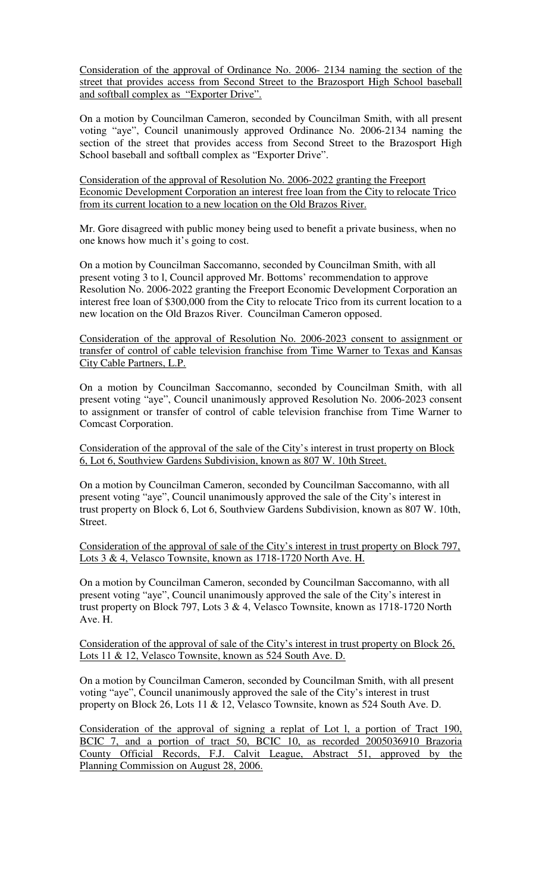Consideration of the approval of Ordinance No. 2006- 2134 naming the section of the street that provides access from Second Street to the Brazosport High School baseball and softball complex as "Exporter Drive".

On a motion by Councilman Cameron, seconded by Councilman Smith, with all present voting "aye", Council unanimously approved Ordinance No. 2006-2134 naming the section of the street that provides access from Second Street to the Brazosport High School baseball and softball complex as "Exporter Drive".

Consideration of the approval of Resolution No. 2006-2022 granting the Freeport Economic Development Corporation an interest free loan from the City to relocate Trico from its current location to a new location on the Old Brazos River.

Mr. Gore disagreed with public money being used to benefit a private business, when no one knows how much it's going to cost.

On a motion by Councilman Saccomanno, seconded by Councilman Smith, with all present voting 3 to l, Council approved Mr. Bottoms' recommendation to approve Resolution No. 2006-2022 granting the Freeport Economic Development Corporation an interest free loan of \$300,000 from the City to relocate Trico from its current location to a new location on the Old Brazos River. Councilman Cameron opposed.

Consideration of the approval of Resolution No. 2006-2023 consent to assignment or transfer of control of cable television franchise from Time Warner to Texas and Kansas City Cable Partners, L.P.

On a motion by Councilman Saccomanno, seconded by Councilman Smith, with all present voting "aye", Council unanimously approved Resolution No. 2006-2023 consent to assignment or transfer of control of cable television franchise from Time Warner to Comcast Corporation.

Consideration of the approval of the sale of the City's interest in trust property on Block 6, Lot 6, Southview Gardens Subdivision, known as 807 W. 10th Street.

On a motion by Councilman Cameron, seconded by Councilman Saccomanno, with all present voting "aye", Council unanimously approved the sale of the City's interest in trust property on Block 6, Lot 6, Southview Gardens Subdivision, known as 807 W. 10th, Street.

Consideration of the approval of sale of the City's interest in trust property on Block 797, Lots 3 & 4, Velasco Townsite, known as 1718-1720 North Ave. H.

On a motion by Councilman Cameron, seconded by Councilman Saccomanno, with all present voting "aye", Council unanimously approved the sale of the City's interest in trust property on Block 797, Lots 3 & 4, Velasco Townsite, known as 1718-1720 North Ave. H.

Consideration of the approval of sale of the City's interest in trust property on Block 26, Lots 11 & 12, Velasco Townsite, known as 524 South Ave. D.

On a motion by Councilman Cameron, seconded by Councilman Smith, with all present voting "aye", Council unanimously approved the sale of the City's interest in trust property on Block 26, Lots 11 & 12, Velasco Townsite, known as 524 South Ave. D.

Consideration of the approval of signing a replat of Lot l, a portion of Tract 190, BCIC 7, and a portion of tract 50, BCIC 10, as recorded 2005036910 Brazoria County Official Records, F.J. Calvit League, Abstract 51, approved by the Planning Commission on August 28, 2006.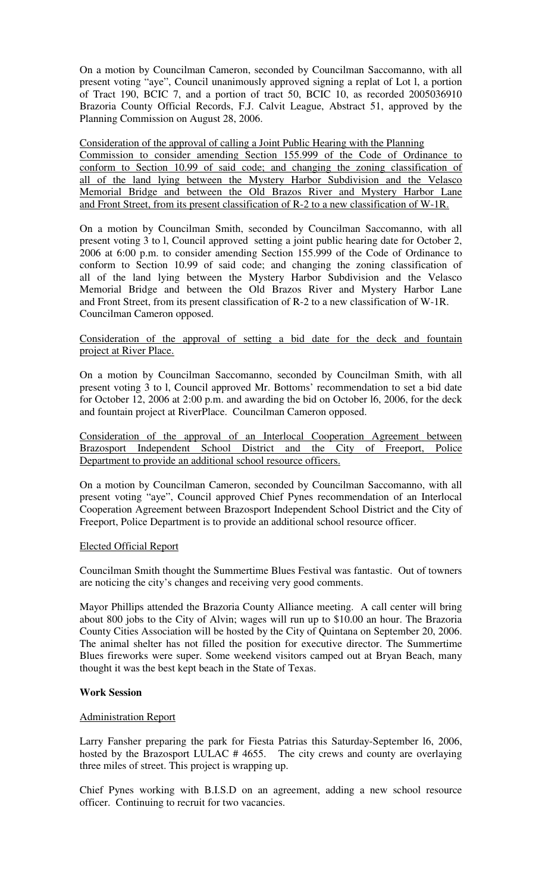On a motion by Councilman Cameron, seconded by Councilman Saccomanno, with all present voting "aye", Council unanimously approved signing a replat of Lot l, a portion of Tract 190, BCIC 7, and a portion of tract 50, BCIC 10, as recorded 2005036910 Brazoria County Official Records, F.J. Calvit League, Abstract 51, approved by the Planning Commission on August 28, 2006.

Consideration of the approval of calling a Joint Public Hearing with the Planning Commission to consider amending Section 155.999 of the Code of Ordinance to conform to Section 10.99 of said code; and changing the zoning classification of all of the land lying between the Mystery Harbor Subdivision and the Velasco Memorial Bridge and between the Old Brazos River and Mystery Harbor Lane and Front Street, from its present classification of R-2 to a new classification of W-1R.

On a motion by Councilman Smith, seconded by Councilman Saccomanno, with all present voting 3 to l, Council approved setting a joint public hearing date for October 2, 2006 at 6:00 p.m. to consider amending Section 155.999 of the Code of Ordinance to conform to Section 10.99 of said code; and changing the zoning classification of all of the land lying between the Mystery Harbor Subdivision and the Velasco Memorial Bridge and between the Old Brazos River and Mystery Harbor Lane and Front Street, from its present classification of R-2 to a new classification of W-1R. Councilman Cameron opposed.

# Consideration of the approval of setting a bid date for the deck and fountain project at River Place.

On a motion by Councilman Saccomanno, seconded by Councilman Smith, with all present voting 3 to l, Council approved Mr. Bottoms' recommendation to set a bid date for October 12, 2006 at 2:00 p.m. and awarding the bid on October l6, 2006, for the deck and fountain project at RiverPlace. Councilman Cameron opposed.

Consideration of the approval of an Interlocal Cooperation Agreement between Brazosport Independent School District and the City of Freeport, Police Department to provide an additional school resource officers.

On a motion by Councilman Cameron, seconded by Councilman Saccomanno, with all present voting "aye", Council approved Chief Pynes recommendation of an Interlocal Cooperation Agreement between Brazosport Independent School District and the City of Freeport, Police Department is to provide an additional school resource officer.

### Elected Official Report

Councilman Smith thought the Summertime Blues Festival was fantastic. Out of towners are noticing the city's changes and receiving very good comments.

Mayor Phillips attended the Brazoria County Alliance meeting. A call center will bring about 800 jobs to the City of Alvin; wages will run up to \$10.00 an hour. The Brazoria County Cities Association will be hosted by the City of Quintana on September 20, 2006. The animal shelter has not filled the position for executive director. The Summertime Blues fireworks were super. Some weekend visitors camped out at Bryan Beach, many thought it was the best kept beach in the State of Texas.

### **Work Session**

### Administration Report

Larry Fansher preparing the park for Fiesta Patrias this Saturday-September l6, 2006, hosted by the Brazosport LULAC # 4655. The city crews and county are overlaying three miles of street. This project is wrapping up.

Chief Pynes working with B.I.S.D on an agreement, adding a new school resource officer. Continuing to recruit for two vacancies.